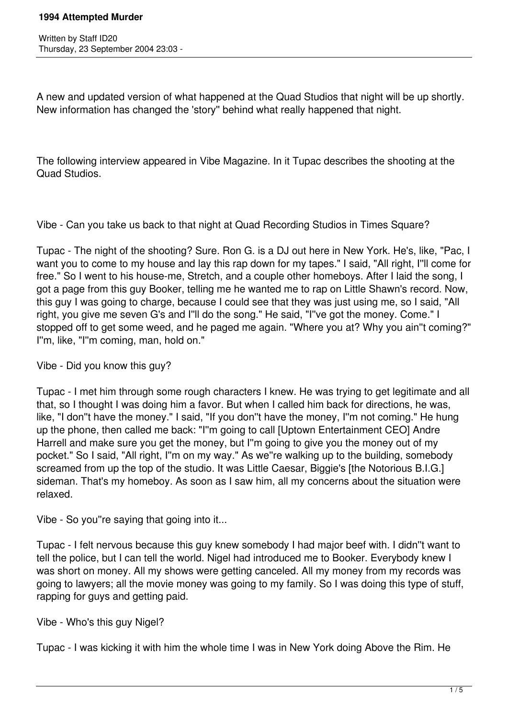A new and updated version of what happened at the Quad Studios that night will be up shortly. New information has changed the 'story'' behind what really happened that night.

The following interview appeared in Vibe Magazine. In it Tupac describes the shooting at the Quad Studios.

Vibe - Can you take us back to that night at Quad Recording Studios in Times Square?

Tupac - The night of the shooting? Sure. Ron G. is a DJ out here in New York. He's, like, "Pac, I want you to come to my house and lay this rap down for my tapes." I said, "All right, I''ll come for free." So I went to his house-me, Stretch, and a couple other homeboys. After I laid the song, I got a page from this guy Booker, telling me he wanted me to rap on Little Shawn's record. Now, this guy I was going to charge, because I could see that they was just using me, so I said, "All right, you give me seven G's and I''ll do the song." He said, "I''ve got the money. Come." I stopped off to get some weed, and he paged me again. "Where you at? Why you ain''t coming?" I''m, like, "I''m coming, man, hold on."

Vibe - Did you know this guy?

Tupac - I met him through some rough characters I knew. He was trying to get legitimate and all that, so I thought I was doing him a favor. But when I called him back for directions, he was, like, "I don"t have the money." I said, "If you don"t have the money, I''m not coming." He hung up the phone, then called me back: "I''m going to call [Uptown Entertainment CEO] Andre Harrell and make sure you get the money, but I''m going to give you the money out of my pocket." So I said, "All right, I''m on my way." As we''re walking up to the building, somebody screamed from up the top of the studio. It was Little Caesar, Biggie's [the Notorious B.I.G.] sideman. That's my homeboy. As soon as I saw him, all my concerns about the situation were relaxed.

Vibe - So you''re saying that going into it...

Tupac - I felt nervous because this guy knew somebody I had major beef with. I didn''t want to tell the police, but I can tell the world. Nigel had introduced me to Booker. Everybody knew I was short on money. All my shows were getting canceled. All my money from my records was going to lawyers; all the movie money was going to my family. So I was doing this type of stuff, rapping for guys and getting paid.

Vibe - Who's this guy Nigel?

Tupac - I was kicking it with him the whole time I was in New York doing Above the Rim. He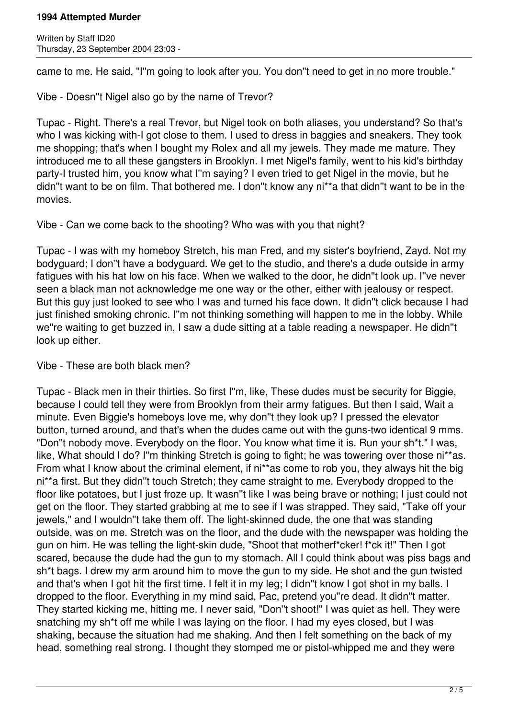## **1994 Attempted Murder**

Written by Staff ID20 Thursday, 23 September 2004 23:03 -

came to me. He said, "I''m going to look after you. You don''t need to get in no more trouble."

Vibe - Doesn''t Nigel also go by the name of Trevor?

Tupac - Right. There's a real Trevor, but Nigel took on both aliases, you understand? So that's who I was kicking with-I got close to them. I used to dress in baggies and sneakers. They took me shopping; that's when I bought my Rolex and all my jewels. They made me mature. They introduced me to all these gangsters in Brooklyn. I met Nigel's family, went to his kid's birthday party-I trusted him, you know what I''m saying? I even tried to get Nigel in the movie, but he didn''t want to be on film. That bothered me. I don''t know any ni\*\*a that didn''t want to be in the movies.

Vibe - Can we come back to the shooting? Who was with you that night?

Tupac - I was with my homeboy Stretch, his man Fred, and my sister's boyfriend, Zayd. Not my bodyguard; I don''t have a bodyguard. We get to the studio, and there's a dude outside in army fatigues with his hat low on his face. When we walked to the door, he didn''t look up. I''ve never seen a black man not acknowledge me one way or the other, either with jealousy or respect. But this guy just looked to see who I was and turned his face down. It didn''t click because I had just finished smoking chronic. I''m not thinking something will happen to me in the lobby. While we''re waiting to get buzzed in, I saw a dude sitting at a table reading a newspaper. He didn''t look up either.

Vibe - These are both black men?

Tupac - Black men in their thirties. So first I''m, like, These dudes must be security for Biggie, because I could tell they were from Brooklyn from their army fatigues. But then I said, Wait a minute. Even Biggie's homeboys love me, why don''t they look up? I pressed the elevator button, turned around, and that's when the dudes came out with the guns-two identical 9 mms. "Don''t nobody move. Everybody on the floor. You know what time it is. Run your sh\*t." I was, like, What should I do? I''m thinking Stretch is going to fight; he was towering over those ni\*\*as. From what I know about the criminal element, if ni\*\*as come to rob you, they always hit the big ni\*\*a first. But they didn''t touch Stretch; they came straight to me. Everybody dropped to the floor like potatoes, but I just froze up. It wasn''t like I was being brave or nothing; I just could not get on the floor. They started grabbing at me to see if I was strapped. They said, "Take off your jewels," and I wouldn''t take them off. The light-skinned dude, the one that was standing outside, was on me. Stretch was on the floor, and the dude with the newspaper was holding the gun on him. He was telling the light-skin dude, "Shoot that motherf\*cker! f\*ck it!" Then I got scared, because the dude had the gun to my stomach. All I could think about was piss bags and sh\*t bags. I drew my arm around him to move the gun to my side. He shot and the gun twisted and that's when I got hit the first time. I felt it in my leg; I didn''t know I got shot in my balls. I dropped to the floor. Everything in my mind said, Pac, pretend you''re dead. It didn''t matter. They started kicking me, hitting me. I never said, "Don''t shoot!" I was quiet as hell. They were snatching my sh\*t off me while I was laying on the floor. I had my eyes closed, but I was shaking, because the situation had me shaking. And then I felt something on the back of my head, something real strong. I thought they stomped me or pistol-whipped me and they were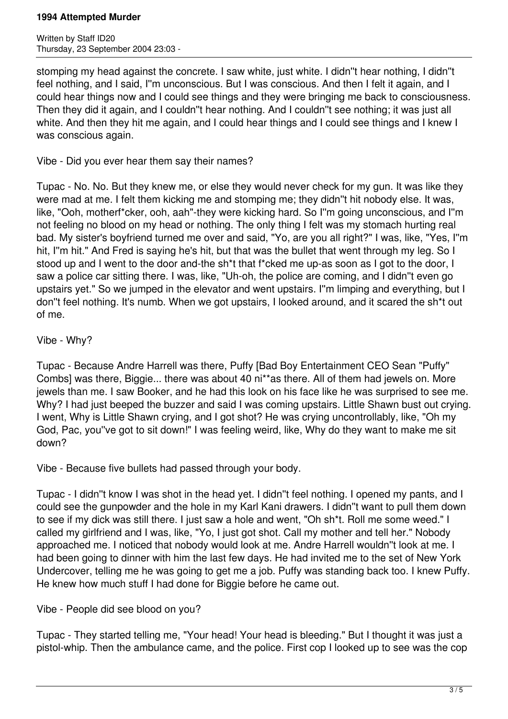## **1994 Attempted Murder**

Written by Staff ID20 Thursday, 23 September 2004 23:03 -

stomping my head against the concrete. I saw white, just white. I didn''t hear nothing, I didn''t feel nothing, and I said, I''m unconscious. But I was conscious. And then I felt it again, and I could hear things now and I could see things and they were bringing me back to consciousness. Then they did it again, and I couldn''t hear nothing. And I couldn''t see nothing; it was just all white. And then they hit me again, and I could hear things and I could see things and I knew I was conscious again.

Vibe - Did you ever hear them say their names?

Tupac - No. No. But they knew me, or else they would never check for my gun. It was like they were mad at me. I felt them kicking me and stomping me; they didn''t hit nobody else. It was, like, "Ooh, motherf\*cker, ooh, aah"-they were kicking hard. So I''m going unconscious, and I''m not feeling no blood on my head or nothing. The only thing I felt was my stomach hurting real bad. My sister's boyfriend turned me over and said, "Yo, are you all right?" I was, like, "Yes, I''m hit, I''m hit." And Fred is saying he's hit, but that was the bullet that went through my leg. So I stood up and I went to the door and-the sh<sup>\*</sup>t that f<sup>\*</sup>cked me up-as soon as I got to the door, I saw a police car sitting there. I was, like, "Uh-oh, the police are coming, and I didn''t even go upstairs yet." So we jumped in the elevator and went upstairs. I''m limping and everything, but I don''t feel nothing. It's numb. When we got upstairs, I looked around, and it scared the sh\*t out of me.

## Vibe - Why?

Tupac - Because Andre Harrell was there, Puffy [Bad Boy Entertainment CEO Sean "Puffy" Combs] was there, Biggie... there was about 40 ni\*\*as there. All of them had jewels on. More jewels than me. I saw Booker, and he had this look on his face like he was surprised to see me. Why? I had just beeped the buzzer and said I was coming upstairs. Little Shawn bust out crying. I went, Why is Little Shawn crying, and I got shot? He was crying uncontrollably, like, "Oh my God, Pac, you''ve got to sit down!" I was feeling weird, like, Why do they want to make me sit down?

Vibe - Because five bullets had passed through your body.

Tupac - I didn''t know I was shot in the head yet. I didn''t feel nothing. I opened my pants, and I could see the gunpowder and the hole in my Karl Kani drawers. I didn''t want to pull them down to see if my dick was still there. I just saw a hole and went, "Oh sh\*t. Roll me some weed." I called my girlfriend and I was, like, "Yo, I just got shot. Call my mother and tell her." Nobody approached me. I noticed that nobody would look at me. Andre Harrell wouldn''t look at me. I had been going to dinner with him the last few days. He had invited me to the set of New York Undercover, telling me he was going to get me a job. Puffy was standing back too. I knew Puffy. He knew how much stuff I had done for Biggie before he came out.

Vibe - People did see blood on you?

Tupac - They started telling me, "Your head! Your head is bleeding." But I thought it was just a pistol-whip. Then the ambulance came, and the police. First cop I looked up to see was the cop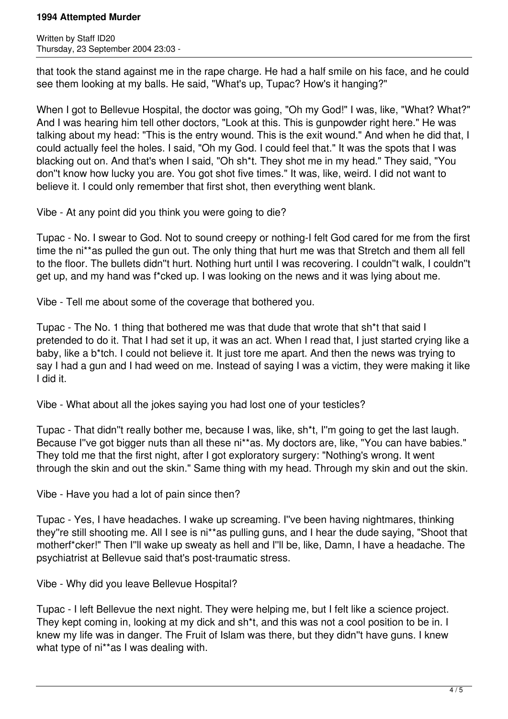## **1994 Attempted Murder**

Written by Staff ID20 Thursday, 23 September 2004 23:03 -

that took the stand against me in the rape charge. He had a half smile on his face, and he could see them looking at my balls. He said, "What's up, Tupac? How's it hanging?"

When I got to Bellevue Hospital, the doctor was going, "Oh my God!" I was, like, "What? What?" And I was hearing him tell other doctors, "Look at this. This is gunpowder right here." He was talking about my head: "This is the entry wound. This is the exit wound." And when he did that, I could actually feel the holes. I said, "Oh my God. I could feel that." It was the spots that I was blacking out on. And that's when I said, "Oh sh\*t. They shot me in my head." They said, "You don''t know how lucky you are. You got shot five times." It was, like, weird. I did not want to believe it. I could only remember that first shot, then everything went blank.

Vibe - At any point did you think you were going to die?

Tupac - No. I swear to God. Not to sound creepy or nothing-I felt God cared for me from the first time the ni\*\*as pulled the gun out. The only thing that hurt me was that Stretch and them all fell to the floor. The bullets didn''t hurt. Nothing hurt until I was recovering. I couldn''t walk, I couldn''t get up, and my hand was f\*cked up. I was looking on the news and it was lying about me.

Vibe - Tell me about some of the coverage that bothered you.

Tupac - The No. 1 thing that bothered me was that dude that wrote that sh\*t that said I pretended to do it. That I had set it up, it was an act. When I read that, I just started crying like a baby, like a b\*tch. I could not believe it. It just tore me apart. And then the news was trying to say I had a gun and I had weed on me. Instead of saying I was a victim, they were making it like I did it.

Vibe - What about all the jokes saying you had lost one of your testicles?

Tupac - That didn''t really bother me, because I was, like, sh\*t, I''m going to get the last laugh. Because I''ve got bigger nuts than all these ni\*\*as. My doctors are, like, "You can have babies." They told me that the first night, after I got exploratory surgery: "Nothing's wrong. It went through the skin and out the skin." Same thing with my head. Through my skin and out the skin.

Vibe - Have you had a lot of pain since then?

Tupac - Yes, I have headaches. I wake up screaming. I''ve been having nightmares, thinking they''re still shooting me. All I see is ni\*\*as pulling guns, and I hear the dude saying, "Shoot that motherf\*cker!" Then I''ll wake up sweaty as hell and I''ll be, like, Damn, I have a headache. The psychiatrist at Bellevue said that's post-traumatic stress.

Vibe - Why did you leave Bellevue Hospital?

Tupac - I left Bellevue the next night. They were helping me, but I felt like a science project. They kept coming in, looking at my dick and sh\*t, and this was not a cool position to be in. I knew my life was in danger. The Fruit of Islam was there, but they didn''t have guns. I knew what type of ni\*\*as I was dealing with.